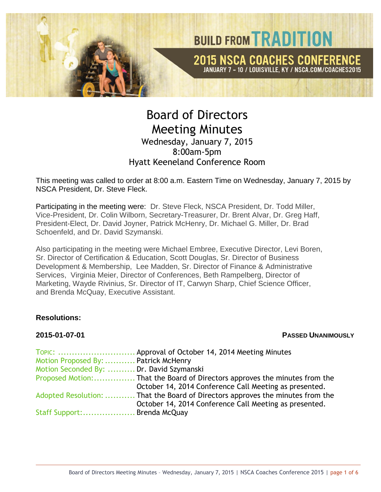

# Board of Directors Meeting Minutes Wednesday, January 7, 2015 8:00am-5pm Hyatt Keeneland Conference Room

This meeting was called to order at 8:00 a.m. Eastern Time on Wednesday, January 7, 2015 by NSCA President, Dr. Steve Fleck.

Participating in the meeting were: Dr. Steve Fleck, NSCA President, Dr. Todd Miller, Vice-President, Dr. Colin Wilborn, Secretary-Treasurer, Dr. Brent Alvar, Dr. Greg Haff, President-Elect, Dr. David Joyner, Patrick McHenry, Dr. Michael G. Miller, Dr. Brad Schoenfeld, and Dr. David Szymanski.

Also participating in the meeting were Michael Embree, Executive Director, Levi Boren, Sr. Director of Certification & Education, Scott Douglas, Sr. Director of Business Development & Membership, Lee Madden, Sr. Director of Finance & Administrative Services, Virginia Meier, Director of Conferences, Beth Rampelberg, Director of Marketing, Wayde Rivinius, Sr. Director of IT, Carwyn Sharp, Chief Science Officer, and Brenda McQuay, Executive Assistant.

### **Resolutions:**

#### **2015-01-07-01 PASSED UNANIMOUSLY**

|                                          | TOPIC:  Approval of October 14, 2014 Meeting Minutes                           |
|------------------------------------------|--------------------------------------------------------------------------------|
| Motion Proposed By:  Patrick McHenry     |                                                                                |
| Motion Seconded By:  Dr. David Szymanski |                                                                                |
|                                          |                                                                                |
|                                          | October 14, 2014 Conference Call Meeting as presented.                         |
|                                          | Adopted Resolution:  That the Board of Directors approves the minutes from the |
|                                          | October 14, 2014 Conference Call Meeting as presented.                         |
| Staff Support: Brenda McQuay             |                                                                                |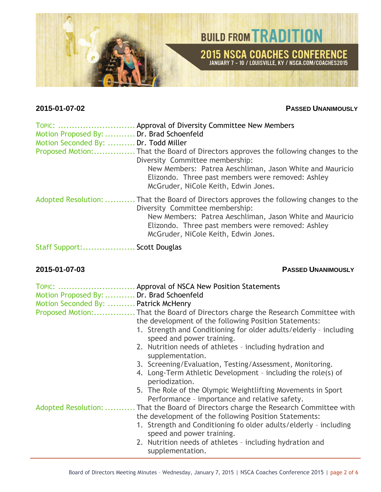

### **2015-01-07-02 PASSED UNANIMOUSLY**

| TOPIC:<br>Motion Proposed By:  Dr. Brad Schoenfeld<br>Motion Seconded By:  Dr. Todd Miller<br>Proposed Motion: | Approval of Diversity Committee New Members<br>. That the Board of Directors approves the following changes to the<br>Diversity Committee membership:<br>New Members: Patrea Aeschliman, Jason White and Mauricio<br>Elizondo. Three past members were removed: Ashley<br>McGruder, NiCole Keith, Edwin Jones. |
|----------------------------------------------------------------------------------------------------------------|----------------------------------------------------------------------------------------------------------------------------------------------------------------------------------------------------------------------------------------------------------------------------------------------------------------|
|                                                                                                                | Adopted Resolution:  That the Board of Directors approves the following changes to the<br>Diversity Committee membership:<br>New Members: Patrea Aeschliman, Jason White and Mauricio<br>Elizondo. Three past members were removed: Ashley<br>McGruder, NiCole Keith, Edwin Jones.                             |
| Staff Support:                                                                                                 | Scott Douglas                                                                                                                                                                                                                                                                                                  |

### **2015-01-07-03 PASSED UNANIMOUSLY**

| Motion Proposed By:  Dr. Brad Schoenfeld<br>Motion Seconded By:  Patrick McHenry | TOPIC:  Approval of NSCA New Position Statements                                                             |
|----------------------------------------------------------------------------------|--------------------------------------------------------------------------------------------------------------|
|                                                                                  |                                                                                                              |
|                                                                                  | the development of the following Position Statements:                                                        |
|                                                                                  | 1. Strength and Conditioning for older adults/elderly - including<br>speed and power training.               |
|                                                                                  | 2. Nutrition needs of athletes - including hydration and<br>supplementation.                                 |
|                                                                                  | 3. Screening/Evaluation, Testing/Assessment, Monitoring.                                                     |
|                                                                                  | 4. Long-Term Athletic Development - including the role(s) of<br>periodization.                               |
|                                                                                  | 5. The Role of the Olympic Weightlifting Movements in Sport<br>Performance - importance and relative safety. |
| Adopted Resolution:                                                              | That the Board of Directors charge the Research Committee with                                               |
|                                                                                  | the development of the following Position Statements:                                                        |
|                                                                                  | 1. Strength and Conditioning fo older adults/elderly - including<br>speed and power training.                |
|                                                                                  | 2. Nutrition needs of athletes - including hydration and<br>supplementation.                                 |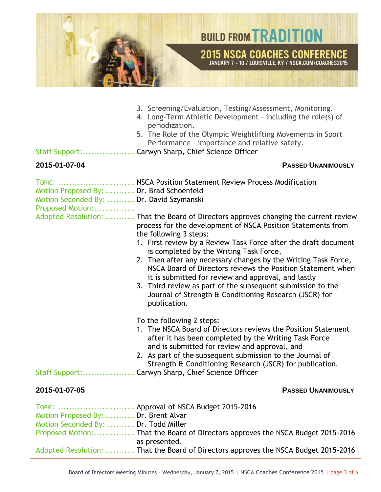

- 3. Screening/Evaluation, Testing/Assessment, Monitoring.
- 4. Long-Term Athletic Development including the role(s) of periodization.
- 5. The Role of the Olympic Weightlifting Movements in Sport Performance – importance and relative safety.

Staff Support:................... Carwyn Sharp, Chief Science Officer

#### **2015-01-07-04 PASSED UNANIMOUSLY**

|                                                                              | TOPIC:  NSCA Position Statement Review Process Modification                                                                                                                                                                                                                                                                                                                                                                                                                                                                                                                                                                    |
|------------------------------------------------------------------------------|--------------------------------------------------------------------------------------------------------------------------------------------------------------------------------------------------------------------------------------------------------------------------------------------------------------------------------------------------------------------------------------------------------------------------------------------------------------------------------------------------------------------------------------------------------------------------------------------------------------------------------|
| Motion Proposed By:  Dr. Brad Schoenfeld                                     |                                                                                                                                                                                                                                                                                                                                                                                                                                                                                                                                                                                                                                |
| Motion Seconded By:  Dr. David Szymanski                                     |                                                                                                                                                                                                                                                                                                                                                                                                                                                                                                                                                                                                                                |
| Proposed Motion:                                                             |                                                                                                                                                                                                                                                                                                                                                                                                                                                                                                                                                                                                                                |
|                                                                              | Adopted Resolution:  That the Board of Directors approves changing the current review<br>process for the development of NSCA Position Statements from<br>the following 3 steps:<br>1. First review by a Review Task Force after the draft document<br>is completed by the Writing Task Force,<br>2. Then after any necessary changes by the Writing Task Force,<br>NSCA Board of Directors reviews the Position Statement when<br>it is submitted for review and approval, and lastly<br>3. Third review as part of the subsequent submission to the<br>Journal of Strength & Conditioning Research (JSCR) for<br>publication. |
|                                                                              | To the following 2 steps:<br>1. The NSCA Board of Directors reviews the Position Statement<br>after it has been completed by the Writing Task Force<br>and is submitted for review and approval, and<br>2. As part of the subsequent submission to the Journal of<br>Strength & Conditioning Research (JSCR) for publication.                                                                                                                                                                                                                                                                                                  |
| 2015-01-07-05                                                                | <b>PASSED UNANIMOUSLY</b>                                                                                                                                                                                                                                                                                                                                                                                                                                                                                                                                                                                                      |
| Motion Proposed By:  Dr. Brent Alvar<br>Motion Seconded By:  Dr. Todd Miller | TOPIC:  Approval of NSCA Budget 2015-2016                                                                                                                                                                                                                                                                                                                                                                                                                                                                                                                                                                                      |

| as presented.                                                                       |
|-------------------------------------------------------------------------------------|
| Adopted Resolution:  That the Board of Directors approves the NSCA Budget 2015-2016 |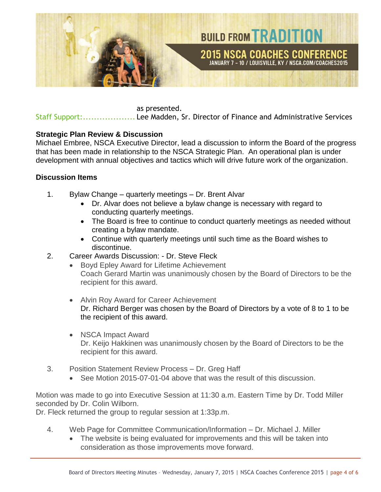

as presented.

Staff Support:................... Lee Madden, Sr. Director of Finance and Administrative Services

### **Strategic Plan Review & Discussion**

Michael Embree, NSCA Executive Director, lead a discussion to inform the Board of the progress that has been made in relationship to the NSCA Strategic Plan. An operational plan is under development with annual objectives and tactics which will drive future work of the organization.

### **Discussion Items**

- 1. Bylaw Change quarterly meetings Dr. Brent Alvar
	- Dr. Alvar does not believe a bylaw change is necessary with regard to conducting quarterly meetings.
	- The Board is free to continue to conduct quarterly meetings as needed without creating a bylaw mandate.
	- Continue with quarterly meetings until such time as the Board wishes to discontinue.
- 2. Career Awards Discussion: Dr. Steve Fleck
	- Boyd Epley Award for Lifetime Achievement Coach Gerard Martin was unanimously chosen by the Board of Directors to be the recipient for this award.
	- Alvin Roy Award for Career Achievement Dr. Richard Berger was chosen by the Board of Directors by a vote of 8 to 1 to be the recipient of this award.
	- NSCA Impact Award Dr. Keijo Hakkinen was unanimously chosen by the Board of Directors to be the recipient for this award.
- 3. Position Statement Review Process Dr. Greg Haff
	- See Motion 2015-07-01-04 above that was the result of this discussion.

Motion was made to go into Executive Session at 11:30 a.m. Eastern Time by Dr. Todd Miller seconded by Dr. Colin Wilborn.

Dr. Fleck returned the group to regular session at 1:33p.m.

- 4. Web Page for Committee Communication/Information Dr. Michael J. Miller
	- The website is being evaluated for improvements and this will be taken into consideration as those improvements move forward.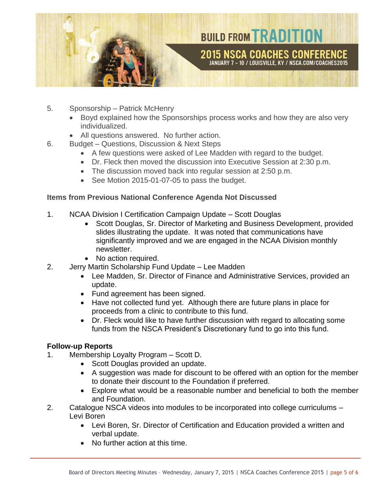

- 5. Sponsorship Patrick McHenry
	- Boyd explained how the Sponsorships process works and how they are also very individualized.
	- All questions answered. No further action.
- 6. Budget Questions, Discussion & Next Steps
	- A few questions were asked of Lee Madden with regard to the budget.
	- Dr. Fleck then moved the discussion into Executive Session at 2:30 p.m.
	- The discussion moved back into regular session at 2:50 p.m.
	- See Motion 2015-01-07-05 to pass the budget.

### **Items from Previous National Conference Agenda Not Discussed**

- 1. NCAA Division I Certification Campaign Update Scott Douglas
	- Scott Douglas, Sr. Director of Marketing and Business Development, provided slides illustrating the update. It was noted that communications have significantly improved and we are engaged in the NCAA Division monthly newsletter.
	- No action required.
- 2. Jerry Martin Scholarship Fund Update Lee Madden
	- Lee Madden, Sr. Director of Finance and Administrative Services, provided an update.
	- Fund agreement has been signed.
	- Have not collected fund yet. Although there are future plans in place for proceeds from a clinic to contribute to this fund.
	- Dr. Fleck would like to have further discussion with regard to allocating some funds from the NSCA President's Discretionary fund to go into this fund.

## **Follow-up Reports**

- 1. Membership Loyalty Program Scott D.
	- Scott Douglas provided an update.
	- A suggestion was made for discount to be offered with an option for the member to donate their discount to the Foundation if preferred.
	- Explore what would be a reasonable number and beneficial to both the member and Foundation.
- 2. Catalogue NSCA videos into modules to be incorporated into college curriculums Levi Boren
	- Levi Boren, Sr. Director of Certification and Education provided a written and verbal update.
	- No further action at this time.